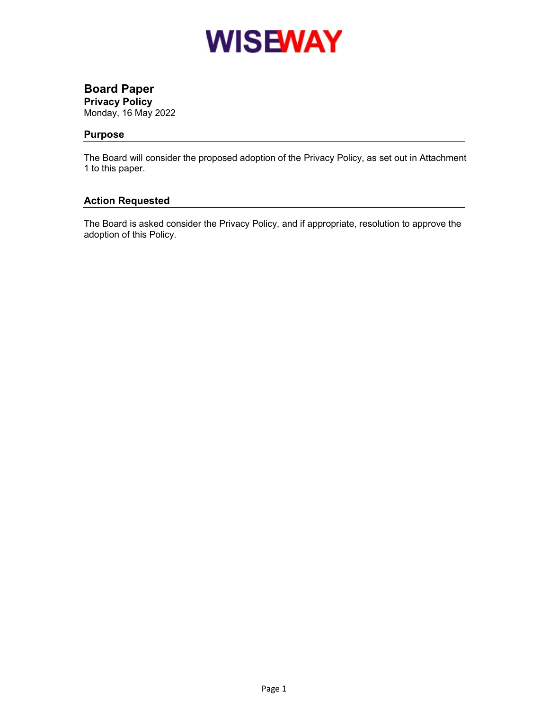

# Board Paper

Privacy Policy

Monday, 16 May 2022

# Purpose

The Board will consider the proposed adoption of the Privacy Policy, as set out in Attachment 1 to this paper.

# Action Requested

The Board is asked consider the Privacy Policy, and if appropriate, resolution to approve the adoption of this Policy.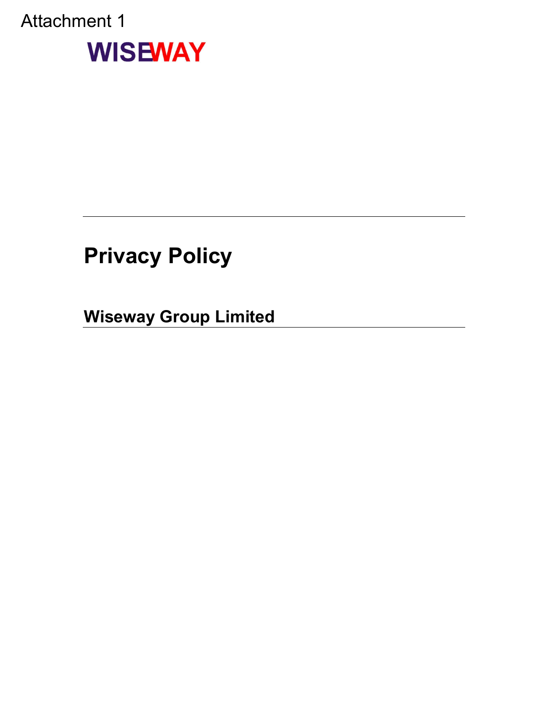# Attachment 1



# Privacy Policy

Wiseway Group Limited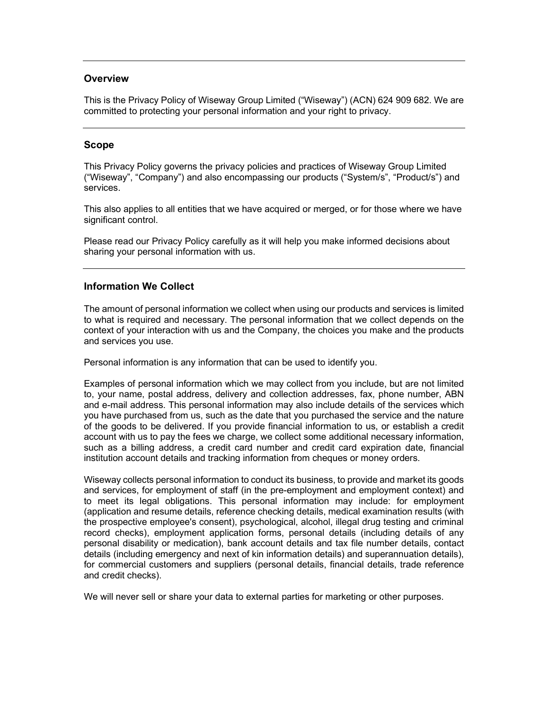#### **Overview**

This is the Privacy Policy of Wiseway Group Limited ("Wiseway") (ACN) 624 909 682. We are committed to protecting your personal information and your right to privacy.

#### Scope

This Privacy Policy governs the privacy policies and practices of Wiseway Group Limited ("Wiseway", "Company") and also encompassing our products ("System/s", "Product/s") and services.

This also applies to all entities that we have acquired or merged, or for those where we have significant control.

Please read our Privacy Policy carefully as it will help you make informed decisions about sharing your personal information with us.

#### Information We Collect

The amount of personal information we collect when using our products and services is limited to what is required and necessary. The personal information that we collect depends on the context of your interaction with us and the Company, the choices you make and the products and services you use.

Personal information is any information that can be used to identify you.

Examples of personal information which we may collect from you include, but are not limited to, your name, postal address, delivery and collection addresses, fax, phone number, ABN and e-mail address. This personal information may also include details of the services which you have purchased from us, such as the date that you purchased the service and the nature of the goods to be delivered. If you provide financial information to us, or establish a credit account with us to pay the fees we charge, we collect some additional necessary information, such as a billing address, a credit card number and credit card expiration date, financial institution account details and tracking information from cheques or money orders.

Wiseway collects personal information to conduct its business, to provide and market its goods and services, for employment of staff (in the pre-employment and employment context) and to meet its legal obligations. This personal information may include: for employment (application and resume details, reference checking details, medical examination results (with the prospective employee's consent), psychological, alcohol, illegal drug testing and criminal record checks), employment application forms, personal details (including details of any personal disability or medication), bank account details and tax file number details, contact details (including emergency and next of kin information details) and superannuation details), for commercial customers and suppliers (personal details, financial details, trade reference and credit checks).

We will never sell or share your data to external parties for marketing or other purposes.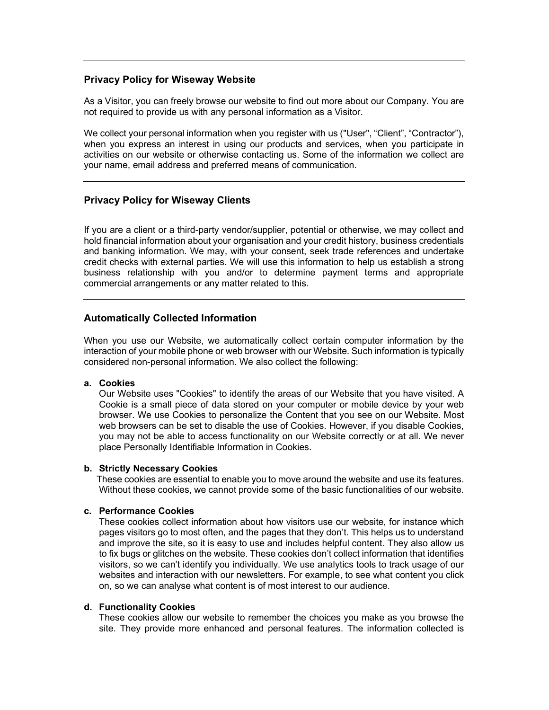#### Privacy Policy for Wiseway Website

As a Visitor, you can freely browse our website to find out more about our Company. You are not required to provide us with any personal information as a Visitor.

We collect your personal information when you register with us ("User", "Client", "Contractor"), when you express an interest in using our products and services, when you participate in activities on our website or otherwise contacting us. Some of the information we collect are your name, email address and preferred means of communication.

## Privacy Policy for Wiseway Clients

If you are a client or a third-party vendor/supplier, potential or otherwise, we may collect and hold financial information about your organisation and your credit history, business credentials and banking information. We may, with your consent, seek trade references and undertake credit checks with external parties. We will use this information to help us establish a strong business relationship with you and/or to determine payment terms and appropriate commercial arrangements or any matter related to this.

## Automatically Collected Information

When you use our Website, we automatically collect certain computer information by the interaction of your mobile phone or web browser with our Website. Such information is typically considered non-personal information. We also collect the following:

#### a. Cookies

 Our Website uses "Cookies" to identify the areas of our Website that you have visited. A Cookie is a small piece of data stored on your computer or mobile device by your web browser. We use Cookies to personalize the Content that you see on our Website. Most web browsers can be set to disable the use of Cookies. However, if you disable Cookies, you may not be able to access functionality on our Website correctly or at all. We never place Personally Identifiable Information in Cookies.

#### b. Strictly Necessary Cookies

 These cookies are essential to enable you to move around the website and use its features. Without these cookies, we cannot provide some of the basic functionalities of our website.

#### c. Performance Cookies

 These cookies collect information about how visitors use our website, for instance which pages visitors go to most often, and the pages that they don't. This helps us to understand and improve the site, so it is easy to use and includes helpful content. They also allow us to fix bugs or glitches on the website. These cookies don't collect information that identifies visitors, so we can't identify you individually. We use analytics tools to track usage of our websites and interaction with our newsletters. For example, to see what content you click on, so we can analyse what content is of most interest to our audience.

#### d. Functionality Cookies

 These cookies allow our website to remember the choices you make as you browse the site. They provide more enhanced and personal features. The information collected is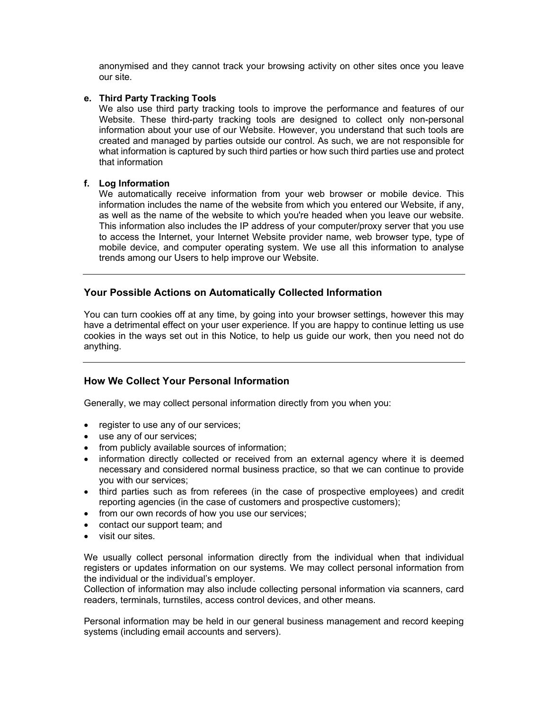anonymised and they cannot track your browsing activity on other sites once you leave our site.

#### e. Third Party Tracking Tools

 We also use third party tracking tools to improve the performance and features of our Website. These third-party tracking tools are designed to collect only non-personal information about your use of our Website. However, you understand that such tools are created and managed by parties outside our control. As such, we are not responsible for what information is captured by such third parties or how such third parties use and protect that information

#### f. Log Information

 We automatically receive information from your web browser or mobile device. This information includes the name of the website from which you entered our Website, if any, as well as the name of the website to which you're headed when you leave our website. This information also includes the IP address of your computer/proxy server that you use to access the Internet, your Internet Website provider name, web browser type, type of mobile device, and computer operating system. We use all this information to analyse trends among our Users to help improve our Website.

## Your Possible Actions on Automatically Collected Information

You can turn cookies off at any time, by going into your browser settings, however this may have a detrimental effect on your user experience. If you are happy to continue letting us use cookies in the ways set out in this Notice, to help us guide our work, then you need not do anything.

# How We Collect Your Personal Information

Generally, we may collect personal information directly from you when you:

- register to use any of our services;
- use any of our services;
- from publicly available sources of information;
- information directly collected or received from an external agency where it is deemed necessary and considered normal business practice, so that we can continue to provide you with our services;
- third parties such as from referees (in the case of prospective employees) and credit reporting agencies (in the case of customers and prospective customers);
- from our own records of how you use our services;
- contact our support team; and
- visit our sites.

We usually collect personal information directly from the individual when that individual registers or updates information on our systems. We may collect personal information from the individual or the individual's employer.

Collection of information may also include collecting personal information via scanners, card readers, terminals, turnstiles, access control devices, and other means.

Personal information may be held in our general business management and record keeping systems (including email accounts and servers).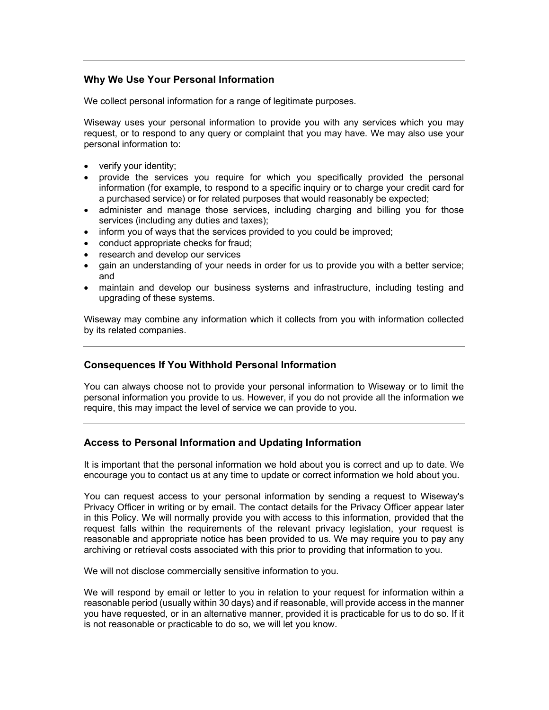# Why We Use Your Personal Information

We collect personal information for a range of legitimate purposes.

Wiseway uses your personal information to provide you with any services which you may request, or to respond to any query or complaint that you may have. We may also use your personal information to:

- verify your identity;
- provide the services you require for which you specifically provided the personal information (for example, to respond to a specific inquiry or to charge your credit card for a purchased service) or for related purposes that would reasonably be expected;
- administer and manage those services, including charging and billing you for those services (including any duties and taxes);
- inform you of ways that the services provided to you could be improved;
- conduct appropriate checks for fraud:
- research and develop our services
- gain an understanding of your needs in order for us to provide you with a better service; and
- maintain and develop our business systems and infrastructure, including testing and upgrading of these systems.

Wiseway may combine any information which it collects from you with information collected by its related companies.

## Consequences If You Withhold Personal Information

You can always choose not to provide your personal information to Wiseway or to limit the personal information you provide to us. However, if you do not provide all the information we require, this may impact the level of service we can provide to you.

## Access to Personal Information and Updating Information

It is important that the personal information we hold about you is correct and up to date. We encourage you to contact us at any time to update or correct information we hold about you.

You can request access to your personal information by sending a request to Wiseway's Privacy Officer in writing or by email. The contact details for the Privacy Officer appear later in this Policy. We will normally provide you with access to this information, provided that the request falls within the requirements of the relevant privacy legislation, your request is reasonable and appropriate notice has been provided to us. We may require you to pay any archiving or retrieval costs associated with this prior to providing that information to you.

We will not disclose commercially sensitive information to you.

We will respond by email or letter to you in relation to your request for information within a reasonable period (usually within 30 days) and if reasonable, will provide access in the manner you have requested, or in an alternative manner, provided it is practicable for us to do so. If it is not reasonable or practicable to do so, we will let you know.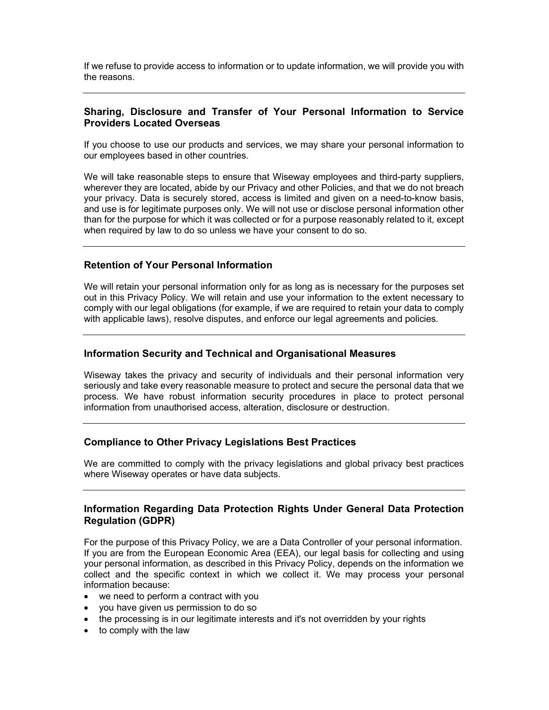If we refuse to provide access to information or to update information, we will provide you with the reasons.

# Sharing, Disclosure and Transfer of Your Personal Information to Service Providers Located Overseas

If you choose to use our products and services, we may share your personal information to our employees based in other countries.

We will take reasonable steps to ensure that Wiseway employees and third-party suppliers, wherever they are located, abide by our Privacy and other Policies, and that we do not breach your privacy. Data is securely stored, access is limited and given on a need-to-know basis, and use is for legitimate purposes only. We will not use or disclose personal information other than for the purpose for which it was collected or for a purpose reasonably related to it, except when required by law to do so unless we have your consent to do so.

## Retention of Your Personal Information

We will retain your personal information only for as long as is necessary for the purposes set out in this Privacy Policy. We will retain and use your information to the extent necessary to comply with our legal obligations (for example, if we are required to retain your data to comply with applicable laws), resolve disputes, and enforce our legal agreements and policies.

#### Information Security and Technical and Organisational Measures

Wiseway takes the privacy and security of individuals and their personal information very seriously and take every reasonable measure to protect and secure the personal data that we process. We have robust information security procedures in place to protect personal information from unauthorised access, alteration, disclosure or destruction.

#### Compliance to Other Privacy Legislations Best Practices

We are committed to comply with the privacy legislations and global privacy best practices where Wiseway operates or have data subjects.

# Information Regarding Data Protection Rights Under General Data Protection Regulation (GDPR)

For the purpose of this Privacy Policy, we are a Data Controller of your personal information. If you are from the European Economic Area (EEA), our legal basis for collecting and using your personal information, as described in this Privacy Policy, depends on the information we collect and the specific context in which we collect it. We may process your personal information because:

- we need to perform a contract with you
- you have given us permission to do so
- the processing is in our legitimate interests and it's not overridden by your rights
- to comply with the law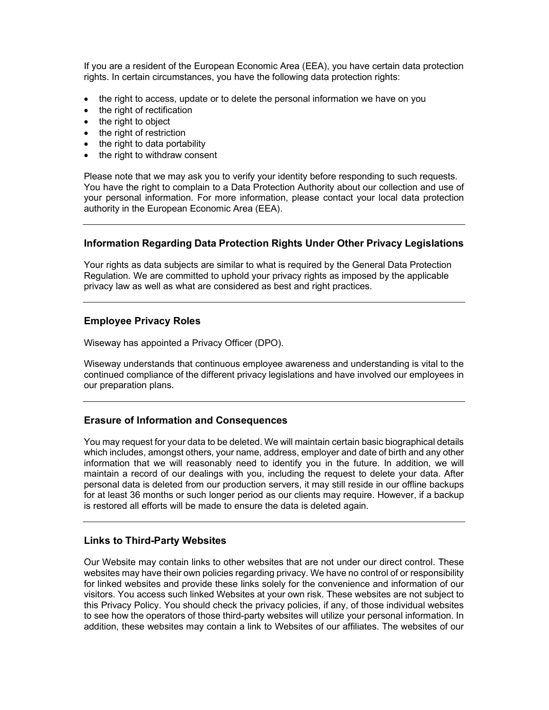If you are a resident of the European Economic Area (EEA), you have certain data protection rights. In certain circumstances, you have the following data protection rights:

- the right to access, update or to delete the personal information we have on you
- the right of rectification
- the right to object
- the right of restriction
- $\bullet$  the right to data portability
- the right to withdraw consent

Please note that we may ask you to verify your identity before responding to such requests. You have the right to complain to a Data Protection Authority about our collection and use of your personal information. For more information, please contact your local data protection authority in the European Economic Area (EEA).

# Information Regarding Data Protection Rights Under Other Privacy Legislations

Your rights as data subjects are similar to what is required by the General Data Protection Regulation. We are committed to uphold your privacy rights as imposed by the applicable privacy law as well as what are considered as best and right practices.

# Employee Privacy Roles

Wiseway has appointed a Privacy Officer (DPO).

Wiseway understands that continuous employee awareness and understanding is vital to the continued compliance of the different privacy legislations and have involved our employees in our preparation plans.

## Erasure of Information and Consequences

You may request for your data to be deleted. We will maintain certain basic biographical details which includes, amongst others, your name, address, employer and date of birth and any other information that we will reasonably need to identify you in the future. In addition, we will maintain a record of our dealings with you, including the request to delete your data. After personal data is deleted from our production servers, it may still reside in our offline backups for at least 36 months or such longer period as our clients may require. However, if a backup is restored all efforts will be made to ensure the data is deleted again.

## Links to Third-Party Websites

Our Website may contain links to other websites that are not under our direct control. These websites may have their own policies regarding privacy. We have no control of or responsibility for linked websites and provide these links solely for the convenience and information of our visitors. You access such linked Websites at your own risk. These websites are not subject to this Privacy Policy. You should check the privacy policies, if any, of those individual websites to see how the operators of those third-party websites will utilize your personal information. In addition, these websites may contain a link to Websites of our affiliates. The websites of our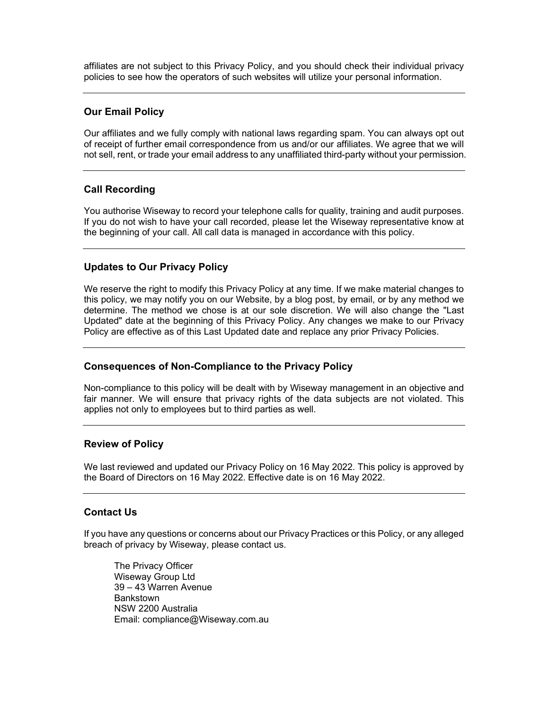affiliates are not subject to this Privacy Policy, and you should check their individual privacy policies to see how the operators of such websites will utilize your personal information.

# Our Email Policy

Our affiliates and we fully comply with national laws regarding spam. You can always opt out of receipt of further email correspondence from us and/or our affiliates. We agree that we will not sell, rent, or trade your email address to any unaffiliated third-party without your permission.

# Call Recording

You authorise Wiseway to record your telephone calls for quality, training and audit purposes. If you do not wish to have your call recorded, please let the Wiseway representative know at the beginning of your call. All call data is managed in accordance with this policy.

## Updates to Our Privacy Policy

We reserve the right to modify this Privacy Policy at any time. If we make material changes to this policy, we may notify you on our Website, by a blog post, by email, or by any method we determine. The method we chose is at our sole discretion. We will also change the "Last Updated" date at the beginning of this Privacy Policy. Any changes we make to our Privacy Policy are effective as of this Last Updated date and replace any prior Privacy Policies.

## Consequences of Non-Compliance to the Privacy Policy

Non-compliance to this policy will be dealt with by Wiseway management in an objective and fair manner. We will ensure that privacy rights of the data subjects are not violated. This applies not only to employees but to third parties as well.

## Review of Policy

We last reviewed and updated our Privacy Policy on 16 May 2022. This policy is approved by the Board of Directors on 16 May 2022. Effective date is on 16 May 2022.

## Contact Us

If you have any questions or concerns about our Privacy Practices or this Policy, or any alleged breach of privacy by Wiseway, please contact us.

The Privacy Officer Wiseway Group Ltd 39 – 43 Warren Avenue Bankstown NSW 2200 Australia Email: compliance@Wiseway.com.au